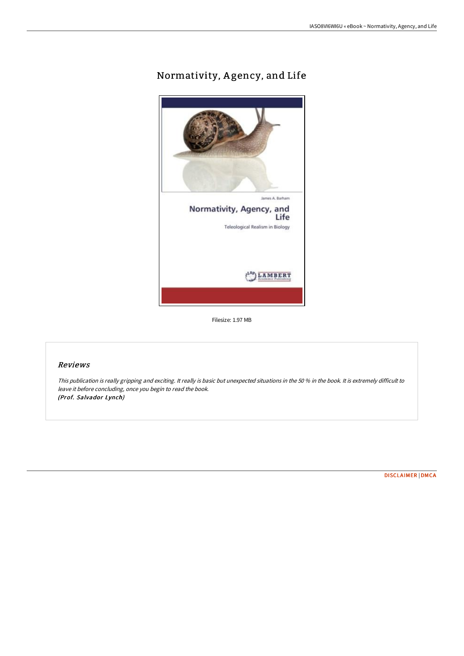# Normativity, Agency, and Life



Filesize: 1.97 MB

# Reviews

This publication is really gripping and exciting. It really is basic but unexpected situations in the <sup>50</sup> % in the book. It is extremely difficult to leave it before concluding, once you begin to read the book. (Prof. Salvador Lynch)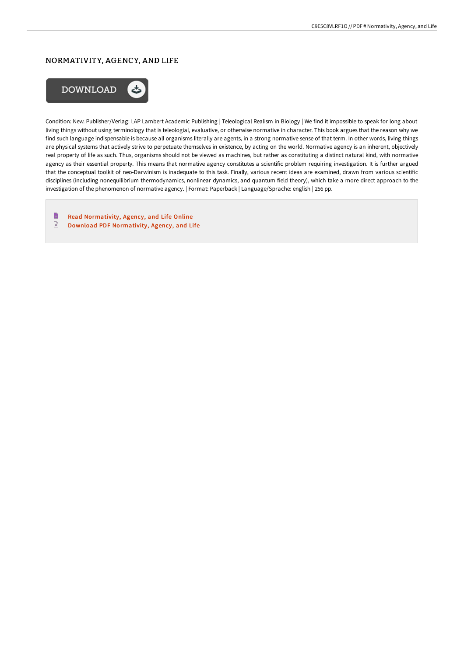# NORMATIVITY, AGENCY, AND LIFE



Condition: New. Publisher/Verlag: LAP Lambert Academic Publishing | Teleological Realism in Biology | We find it impossible to speak for long about living things without using terminology that is teleologial, evaluative, or otherwise normative in character. This book argues that the reason why we find such language indispensable is because all organisms literally are agents, in a strong normative sense of that term. In other words, living things are physical systems that actively strive to perpetuate themselves in existence, by acting on the world. Normative agency is an inherent, objectively real property of life as such. Thus, organisms should not be viewed as machines, but rather as constituting a distinct natural kind, with normative agency as their essential property. This means that normative agency constitutes a scientific problem requiring investigation. It is further argued that the conceptual toolkit of neo-Darwinism is inadequate to this task. Finally, various recent ideas are examined, drawn from various scientific disciplines (including nonequilibrium thermodynamics, nonlinear dynamics, and quantum field theory), which take a more direct approach to the investigation of the phenomenon of normative agency. | Format: Paperback | Language/Sprache: english | 256 pp.

 $\qquad \qquad \blacksquare$ Read [Normativity,](http://bookera.tech/normativity-agency-and-life.html) Agency, and Life Online  $\mathbf{r}$ 

Download PDF [Normativity,](http://bookera.tech/normativity-agency-and-life.html) Agency, and Life